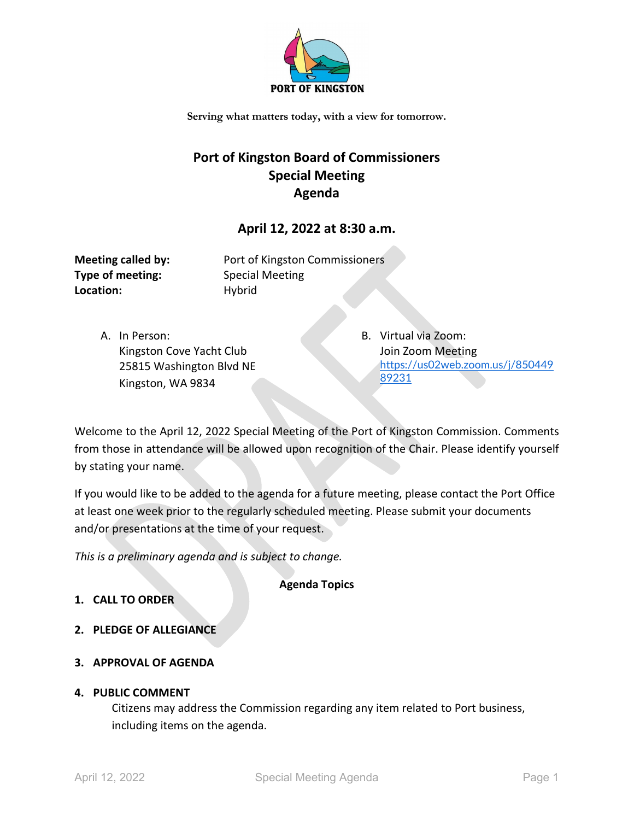

**Serving what matters today, with a view for tomorrow.**

# **Port of Kingston Board of Commissioners Special Meeting Agenda**

## **April 12, 2022 at 8:30 a.m.**

**Type of meeting:** Special Meeting Location: Hybrid

**Meeting called by:** Port of Kingston Commissioners

A. In Person: Kingston Cove Yacht Club 25815 Washington Blvd NE Kingston, WA 9834

B. Virtual via Zoom: Join Zoom Meeting [https://us02web.zoom.us/j/850449](https://us02web.zoom.us/j/85044989231) [89231](https://us02web.zoom.us/j/85044989231)

Welcome to the April 12, 2022 Special Meeting of the Port of Kingston Commission. Comments from those in attendance will be allowed upon recognition of the Chair. Please identify yourself by stating your name.

If you would like to be added to the agenda for a future meeting, please contact the Port Office at least one week prior to the regularly scheduled meeting. Please submit your documents and/or presentations at the time of your request.

*This is a preliminary agenda and is subject to change.*

**Agenda Topics**

- **1. CALL TO ORDER**
- **2. PLEDGE OF ALLEGIANCE**
- **3. APPROVAL OF AGENDA**

#### **4. PUBLIC COMMENT**

Citizens may address the Commission regarding any item related to Port business, including items on the agenda.